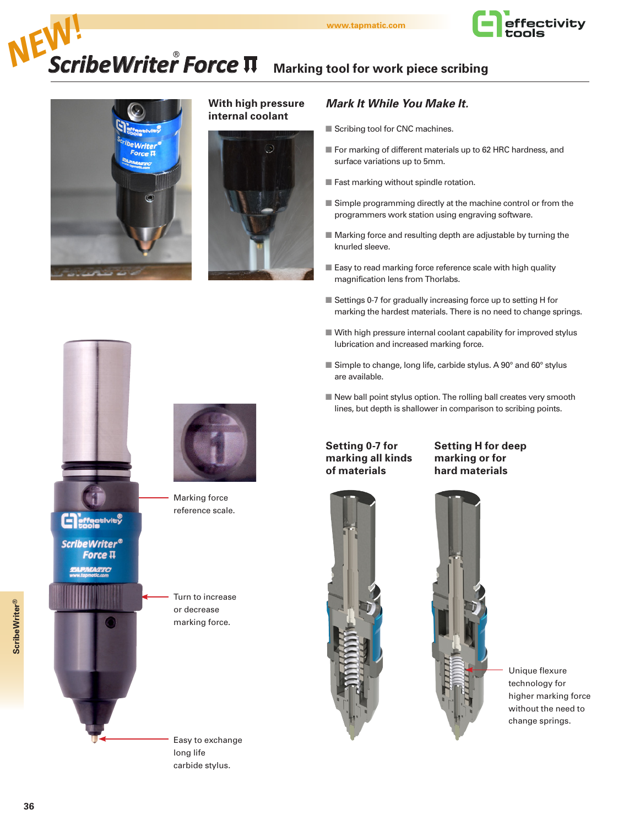

# **Marking tool for work piece scribing EW!**<br> **ScribeWriter<sup>®</sup>** Force  $\Pi$  Marking tool for work piece scribing



### **With high pressure internal coolant**



### *Mark It While You Make It.*

- Scribing tool for CNC machines.
- For marking of different materials up to 62 HRC hardness, and surface variations up to 5mm.
- $\blacksquare$  Fast marking without spindle rotation.
- $\blacksquare$  Simple programming directly at the machine control or from the programmers work station using engraving software.
- $\blacksquare$  Marking force and resulting depth are adjustable by turning the knurled sleeve.
- Easy to read marking force reference scale with high quality magnification lens from Thorlabs.
- $\blacksquare$  Settings 0-7 for gradually increasing force up to setting H for marking the hardest materials. There is no need to change springs.
- $\blacksquare$  With high pressure internal coolant capability for improved stylus lubrication and increased marking force.
- Simple to change, long life, carbide stylus. A 90° and 60° stylus are available.
- $\blacksquare$  New ball point stylus option. The rolling ball creates very smooth lines, but depth is shallower in comparison to scribing points.

**Setting 0-7 for marking all kinds of materials**

# **Setting H for deep marking or for hard materials**



Unique flexure technology for higher marking force without the need to change springs.



**ScribeWriter®** Force  $\Pi$ **ATTC** 



Marking force reference scale.

Turn to increase or decrease marking force.

Easy to exchange

long life carbide stylus.